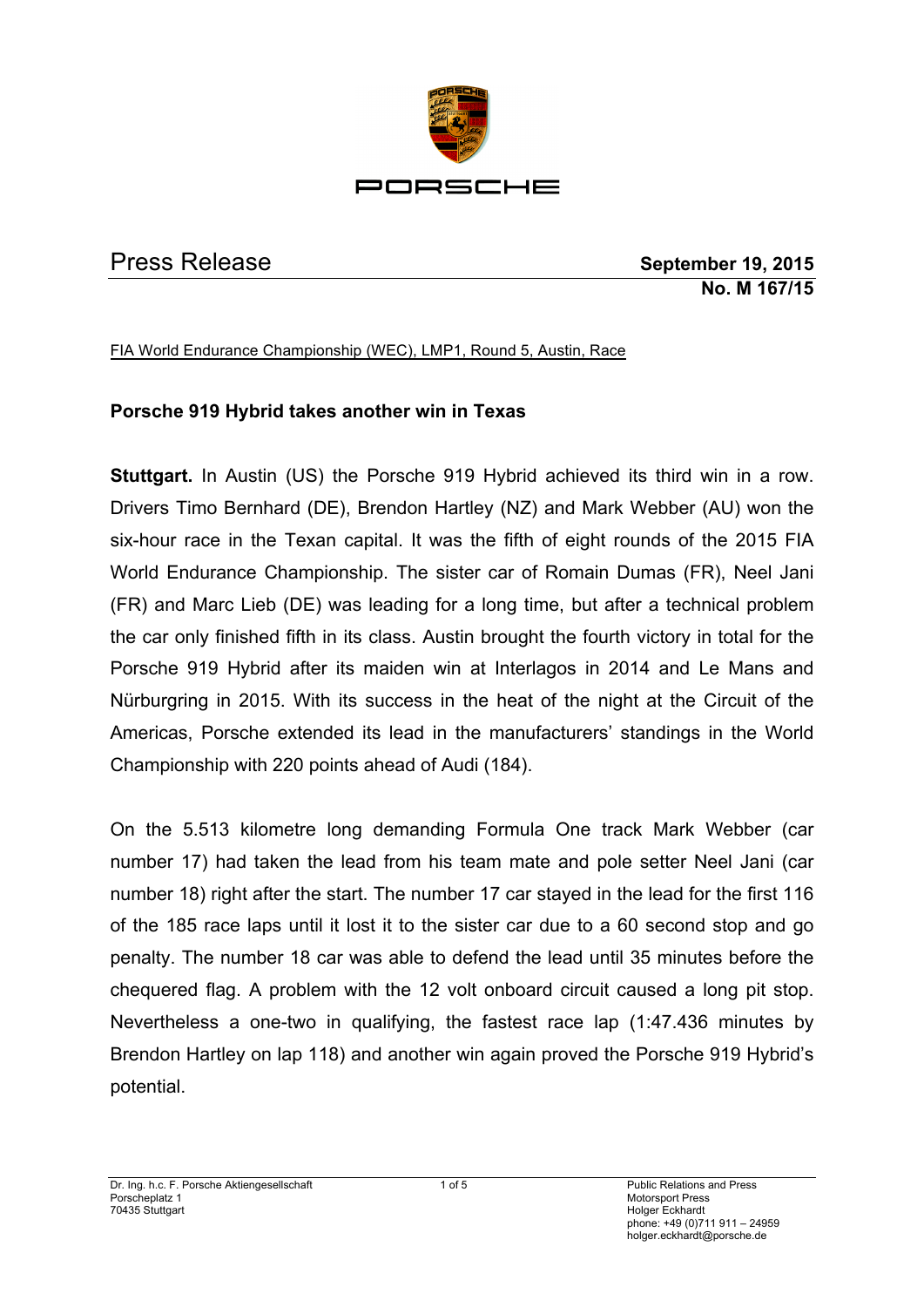

Press Release **September 19, 2015 No. M 167/15**

FIA World Endurance Championship (WEC), LMP1, Round 5, Austin, Race

# **Porsche 919 Hybrid takes another win in Texas**

**Stuttgart.** In Austin (US) the Porsche 919 Hybrid achieved its third win in a row. Drivers Timo Bernhard (DE), Brendon Hartley (NZ) and Mark Webber (AU) won the six-hour race in the Texan capital. It was the fifth of eight rounds of the 2015 FIA World Endurance Championship. The sister car of Romain Dumas (FR), Neel Jani (FR) and Marc Lieb (DE) was leading for a long time, but after a technical problem the car only finished fifth in its class. Austin brought the fourth victory in total for the Porsche 919 Hybrid after its maiden win at Interlagos in 2014 and Le Mans and Nürburgring in 2015. With its success in the heat of the night at the Circuit of the Americas, Porsche extended its lead in the manufacturers' standings in the World Championship with 220 points ahead of Audi (184).

On the 5.513 kilometre long demanding Formula One track Mark Webber (car number 17) had taken the lead from his team mate and pole setter Neel Jani (car number 18) right after the start. The number 17 car stayed in the lead for the first 116 of the 185 race laps until it lost it to the sister car due to a 60 second stop and go penalty. The number 18 car was able to defend the lead until 35 minutes before the chequered flag. A problem with the 12 volt onboard circuit caused a long pit stop. Nevertheless a one-two in qualifying, the fastest race lap (1:47.436 minutes by Brendon Hartley on lap 118) and another win again proved the Porsche 919 Hybrid's potential.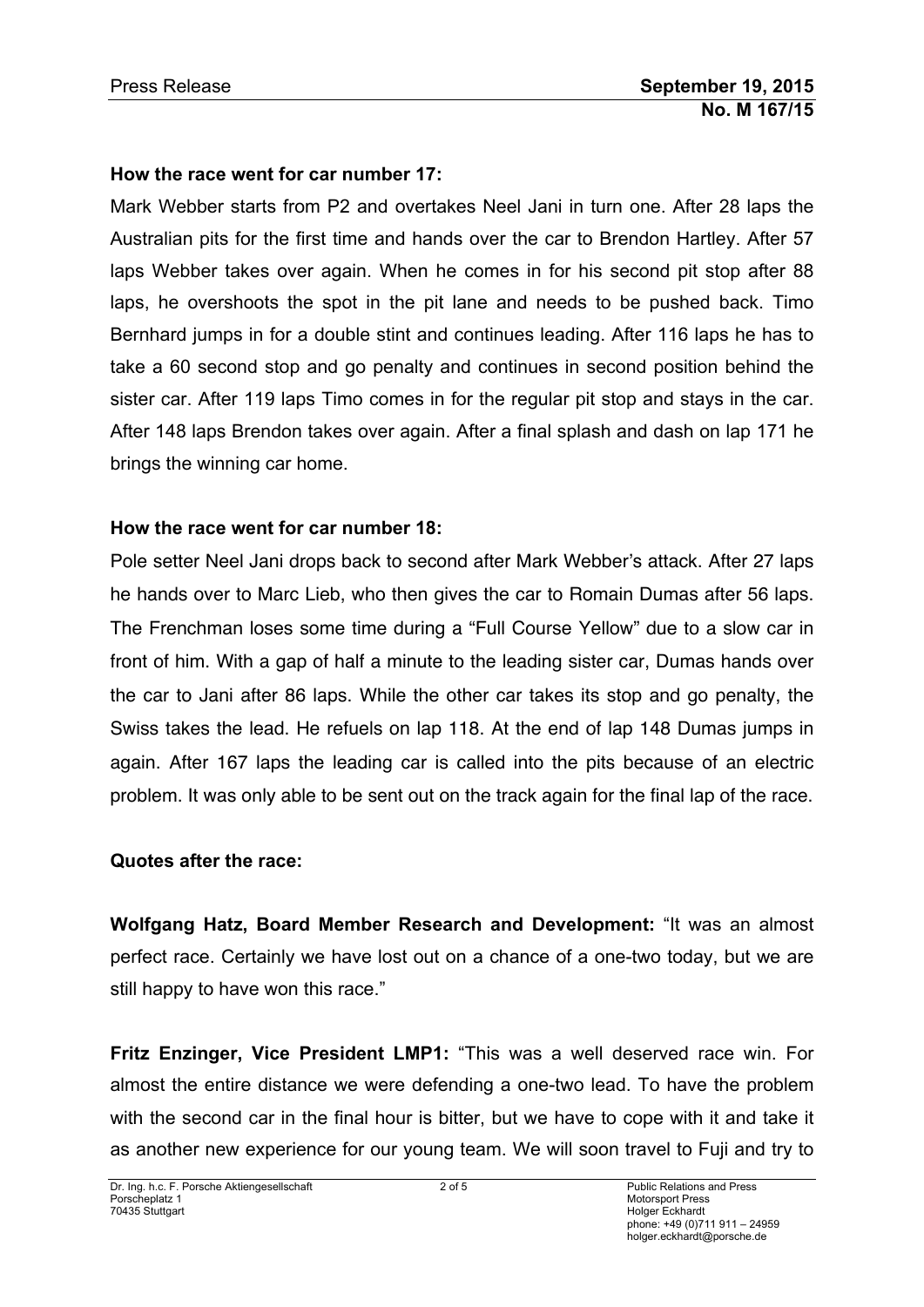#### **How the race went for car number 17:**

Mark Webber starts from P2 and overtakes Neel Jani in turn one. After 28 laps the Australian pits for the first time and hands over the car to Brendon Hartley. After 57 laps Webber takes over again. When he comes in for his second pit stop after 88 laps, he overshoots the spot in the pit lane and needs to be pushed back. Timo Bernhard jumps in for a double stint and continues leading. After 116 laps he has to take a 60 second stop and go penalty and continues in second position behind the sister car. After 119 laps Timo comes in for the regular pit stop and stays in the car. After 148 laps Brendon takes over again. After a final splash and dash on lap 171 he brings the winning car home.

#### **How the race went for car number 18:**

Pole setter Neel Jani drops back to second after Mark Webber's attack. After 27 laps he hands over to Marc Lieb, who then gives the car to Romain Dumas after 56 laps. The Frenchman loses some time during a "Full Course Yellow" due to a slow car in front of him. With a gap of half a minute to the leading sister car, Dumas hands over the car to Jani after 86 laps. While the other car takes its stop and go penalty, the Swiss takes the lead. He refuels on lap 118. At the end of lap 148 Dumas jumps in again. After 167 laps the leading car is called into the pits because of an electric problem. It was only able to be sent out on the track again for the final lap of the race.

#### **Quotes after the race:**

**Wolfgang Hatz, Board Member Research and Development:** "It was an almost perfect race. Certainly we have lost out on a chance of a one-two today, but we are still happy to have won this race."

**Fritz Enzinger, Vice President LMP1:** "This was a well deserved race win. For almost the entire distance we were defending a one-two lead. To have the problem with the second car in the final hour is bitter, but we have to cope with it and take it as another new experience for our young team. We will soon travel to Fuji and try to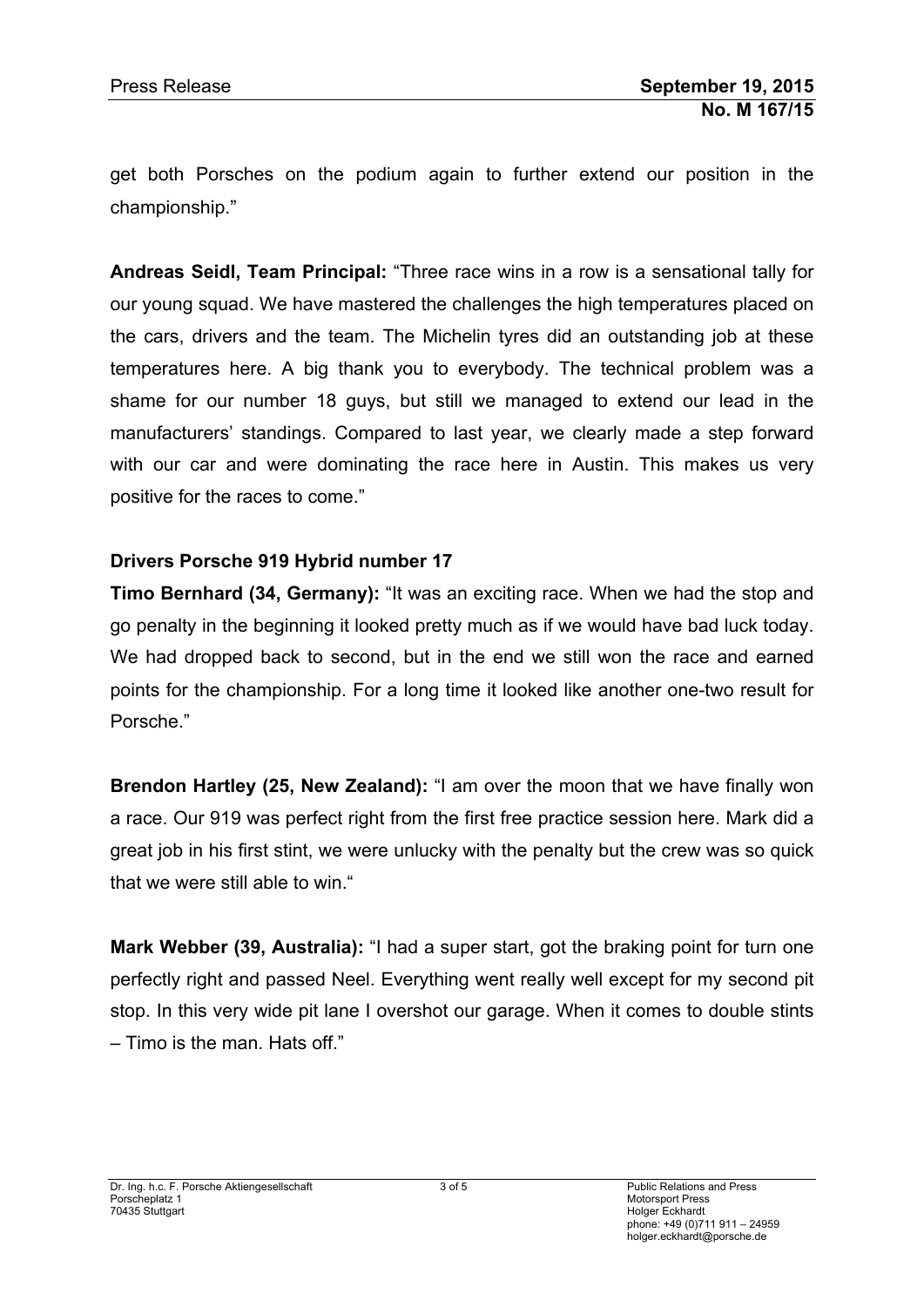get both Porsches on the podium again to further extend our position in the championship."

**Andreas Seidl, Team Principal:** "Three race wins in a row is a sensational tally for our young squad. We have mastered the challenges the high temperatures placed on the cars, drivers and the team. The Michelin tyres did an outstanding job at these temperatures here. A big thank you to everybody. The technical problem was a shame for our number 18 guys, but still we managed to extend our lead in the manufacturers' standings. Compared to last year, we clearly made a step forward with our car and were dominating the race here in Austin. This makes us very positive for the races to come."

# **Drivers Porsche 919 Hybrid number 17**

**Timo Bernhard (34, Germany):** "It was an exciting race. When we had the stop and go penalty in the beginning it looked pretty much as if we would have bad luck today. We had dropped back to second, but in the end we still won the race and earned points for the championship. For a long time it looked like another one-two result for Porsche."

**Brendon Hartley (25, New Zealand):** "I am over the moon that we have finally won a race. Our 919 was perfect right from the first free practice session here. Mark did a great job in his first stint, we were unlucky with the penalty but the crew was so quick that we were still able to win."

**Mark Webber (39, Australia):** "I had a super start, got the braking point for turn one perfectly right and passed Neel. Everything went really well except for my second pit stop. In this very wide pit lane I overshot our garage. When it comes to double stints – Timo is the man. Hats off."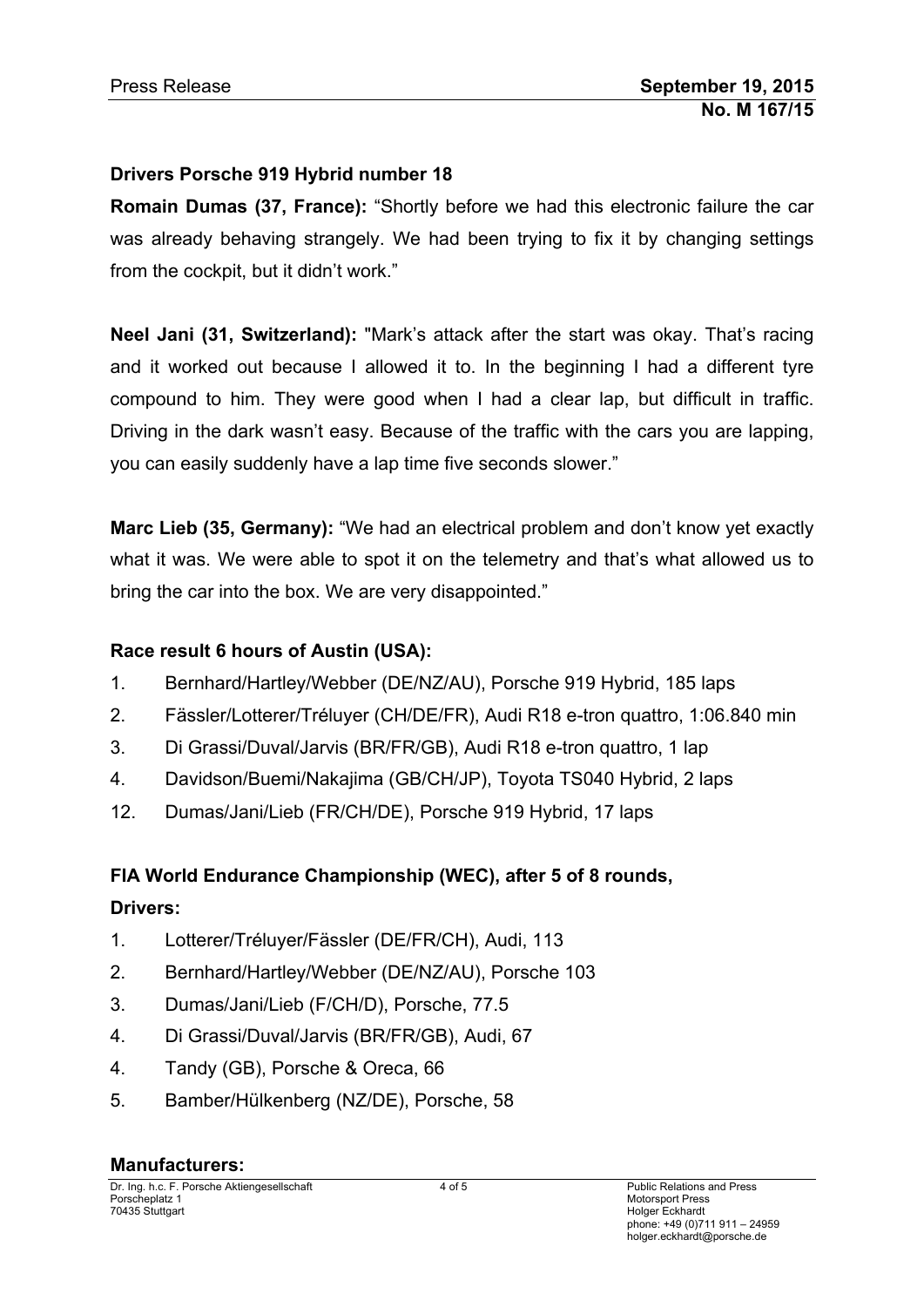## **Drivers Porsche 919 Hybrid number 18**

**Romain Dumas (37, France):** "Shortly before we had this electronic failure the car was already behaving strangely. We had been trying to fix it by changing settings from the cockpit, but it didn't work."

**Neel Jani (31, Switzerland):** "Mark's attack after the start was okay. That's racing and it worked out because I allowed it to. In the beginning I had a different tyre compound to him. They were good when I had a clear lap, but difficult in traffic. Driving in the dark wasn't easy. Because of the traffic with the cars you are lapping, you can easily suddenly have a lap time five seconds slower."

**Marc Lieb (35, Germany):** "We had an electrical problem and don't know yet exactly what it was. We were able to spot it on the telemetry and that's what allowed us to bring the car into the box. We are very disappointed."

## **Race result 6 hours of Austin (USA):**

- 1. Bernhard/Hartley/Webber (DE/NZ/AU), Porsche 919 Hybrid, 185 laps
- 2. Fässler/Lotterer/Tréluyer (CH/DE/FR), Audi R18 e-tron quattro, 1:06.840 min
- 3. Di Grassi/Duval/Jarvis (BR/FR/GB), Audi R18 e-tron quattro, 1 lap
- 4. Davidson/Buemi/Nakajima (GB/CH/JP), Toyota TS040 Hybrid, 2 laps
- 12. Dumas/Jani/Lieb (FR/CH/DE), Porsche 919 Hybrid, 17 laps

## **FIA World Endurance Championship (WEC), after 5 of 8 rounds,**

## **Drivers:**

- 1. Lotterer/Tréluyer/Fässler (DE/FR/CH), Audi, 113
- 2. Bernhard/Hartley/Webber (DE/NZ/AU), Porsche 103
- 3. Dumas/Jani/Lieb (F/CH/D), Porsche, 77.5
- 4. Di Grassi/Duval/Jarvis (BR/FR/GB), Audi, 67
- 4. Tandy (GB), Porsche & Oreca, 66
- 5. Bamber/Hülkenberg (NZ/DE), Porsche, 58